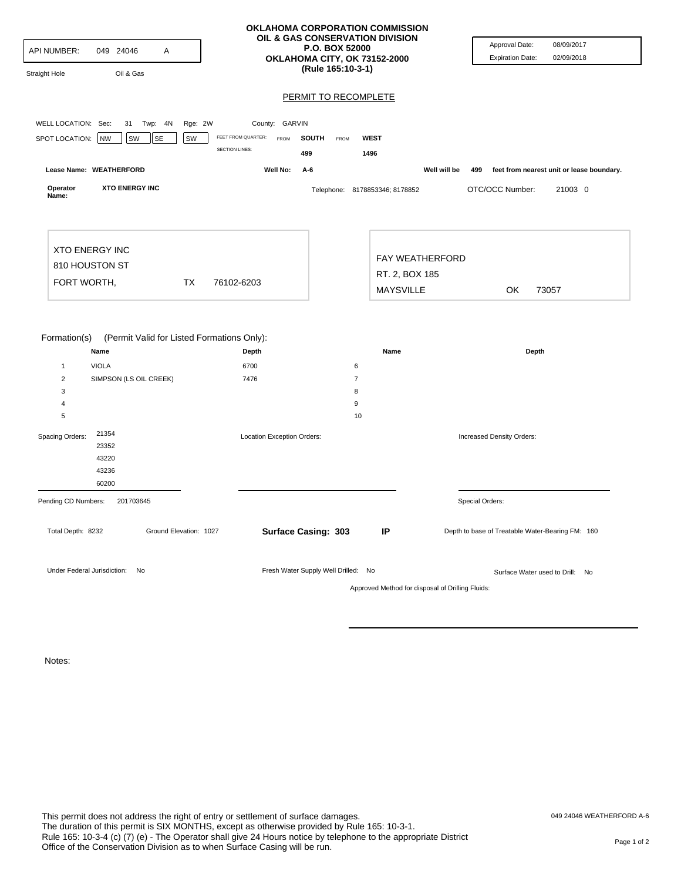| API NUMBER:<br>Straight Hole                           | 049 24046<br>Α<br>Oil & Gas            |                                                     | OKLAHOMA CORPORATION COMMISSION<br>OIL & GAS CONSERVATION DIVISION<br>P.O. BOX 52000<br>OKLAHOMA CITY, OK 73152-2000<br>(Rule 165:10-3-1) |                  |                                |              | Approval Date:<br><b>Expiration Date:</b>        | 08/09/2017<br>02/09/2018                  |
|--------------------------------------------------------|----------------------------------------|-----------------------------------------------------|-------------------------------------------------------------------------------------------------------------------------------------------|------------------|--------------------------------|--------------|--------------------------------------------------|-------------------------------------------|
|                                                        |                                        |                                                     |                                                                                                                                           |                  | PERMIT TO RECOMPLETE           |              |                                                  |                                           |
| WELL LOCATION: Sec:                                    | 31 Twp: 4N                             |                                                     | County: GARVIN                                                                                                                            |                  |                                |              |                                                  |                                           |
| SPOT LOCATION:                                         | NW<br>SW<br>SE                         | Rge: 2W<br>FEET FROM QUARTER:<br>SW                 | <b>FROM</b><br><b>SOUTH</b>                                                                                                               | FROM             | <b>WEST</b>                    |              |                                                  |                                           |
|                                                        |                                        | <b>SECTION LINES:</b>                               | 499                                                                                                                                       |                  | 1496                           |              |                                                  |                                           |
|                                                        | Lease Name: WEATHERFORD                |                                                     | Well No:<br>A-6                                                                                                                           |                  |                                | Well will be | 499                                              | feet from nearest unit or lease boundary. |
| Operator<br>Name:                                      | <b>XTO ENERGY INC</b>                  |                                                     |                                                                                                                                           |                  | Telephone: 8178853346; 8178852 |              | OTC/OCC Number:                                  | 21003 0                                   |
| <b>XTO ENERGY INC</b><br>810 HOUSTON ST<br>FORT WORTH, | ТX<br>76102-6203                       |                                                     |                                                                                                                                           | RT. 2, BOX 185   | FAY WEATHERFORD                |              |                                                  |                                           |
|                                                        |                                        |                                                     |                                                                                                                                           | <b>MAYSVILLE</b> |                                | <b>OK</b>    | 73057                                            |                                           |
| Formation(s)                                           | Name                                   | (Permit Valid for Listed Formations Only):<br>Depth |                                                                                                                                           |                  | Name                           |              | Depth                                            |                                           |
| $\mathbf{1}$<br>$\overline{2}$                         | <b>VIOLA</b><br>SIMPSON (LS OIL CREEK) | 6700<br>7476                                        |                                                                                                                                           |                  | 6<br>$\overline{7}$            |              |                                                  |                                           |
| 3                                                      |                                        |                                                     |                                                                                                                                           |                  | 8                              |              |                                                  |                                           |
| 4                                                      |                                        |                                                     |                                                                                                                                           |                  | 9                              |              |                                                  |                                           |
| 5                                                      |                                        |                                                     |                                                                                                                                           |                  | 10                             |              |                                                  |                                           |
| Spacing Orders:                                        | 21354<br>23352<br>43220<br>43236       |                                                     | Location Exception Orders:                                                                                                                |                  |                                |              | Increased Density Orders:                        |                                           |
| Pending CD Numbers:                                    | 60200<br>201703645                     |                                                     |                                                                                                                                           |                  |                                |              | Special Orders:                                  |                                           |
| Total Depth: 8232                                      |                                        | Ground Elevation: 1027                              | Surface Casing: 303                                                                                                                       |                  | IP                             |              | Depth to base of Treatable Water-Bearing FM: 160 |                                           |
| Under Federal Jurisdiction:                            | No                                     |                                                     | Fresh Water Supply Well Drilled: No                                                                                                       |                  |                                |              | Surface Water used to Drill: No                  |                                           |

Approved Method for disposal of Drilling Fluids:

Notes: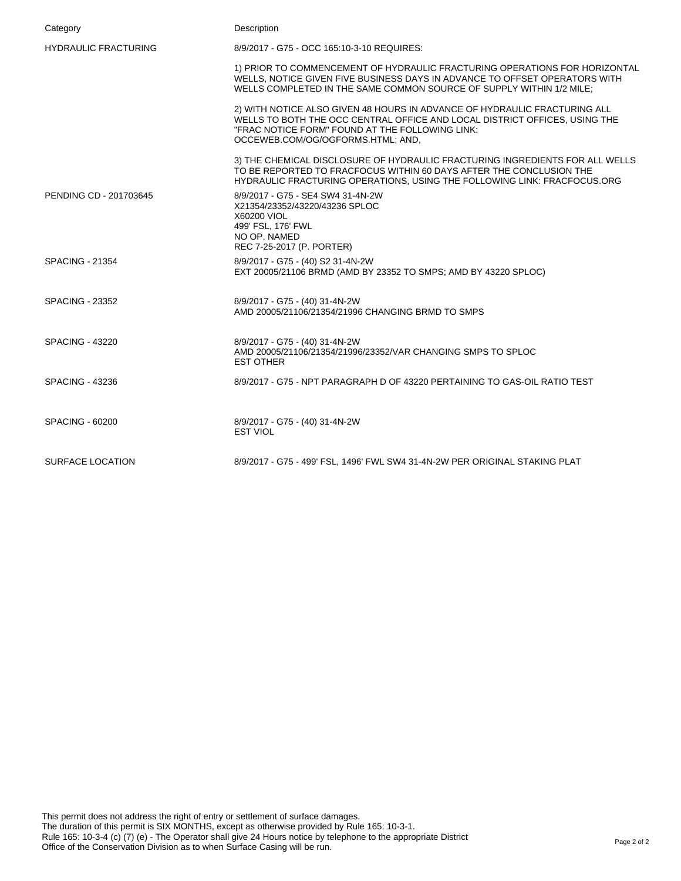| Category                    | Description                                                                                                                                                                                                                                     |
|-----------------------------|-------------------------------------------------------------------------------------------------------------------------------------------------------------------------------------------------------------------------------------------------|
| <b>HYDRAULIC FRACTURING</b> | 8/9/2017 - G75 - OCC 165:10-3-10 REQUIRES:                                                                                                                                                                                                      |
|                             | 1) PRIOR TO COMMENCEMENT OF HYDRAULIC FRACTURING OPERATIONS FOR HORIZONTAL<br>WELLS, NOTICE GIVEN FIVE BUSINESS DAYS IN ADVANCE TO OFFSET OPERATORS WITH<br>WELLS COMPLETED IN THE SAME COMMON SOURCE OF SUPPLY WITHIN 1/2 MILE;                |
|                             | 2) WITH NOTICE ALSO GIVEN 48 HOURS IN ADVANCE OF HYDRAULIC FRACTURING ALL<br>WELLS TO BOTH THE OCC CENTRAL OFFICE AND LOCAL DISTRICT OFFICES, USING THE<br>"FRAC NOTICE FORM" FOUND AT THE FOLLOWING LINK:<br>OCCEWEB.COM/OG/OGFORMS.HTML; AND, |
|                             | 3) THE CHEMICAL DISCLOSURE OF HYDRAULIC FRACTURING INGREDIENTS FOR ALL WELLS<br>TO BE REPORTED TO FRACFOCUS WITHIN 60 DAYS AFTER THE CONCLUSION THE<br>HYDRAULIC FRACTURING OPERATIONS, USING THE FOLLOWING LINK: FRACFOCUS.ORG                 |
| PENDING CD - 201703645      | 8/9/2017 - G75 - SE4 SW4 31-4N-2W<br>X21354/23352/43220/43236 SPLOC<br>X60200 VIOL<br>499' FSL, 176' FWL<br>NO OP. NAMED<br>REC 7-25-2017 (P. PORTER)                                                                                           |
| <b>SPACING - 21354</b>      | 8/9/2017 - G75 - (40) S2 31-4N-2W<br>EXT 20005/21106 BRMD (AMD BY 23352 TO SMPS; AMD BY 43220 SPLOC)                                                                                                                                            |
| <b>SPACING - 23352</b>      | 8/9/2017 - G75 - (40) 31-4N-2W<br>AMD 20005/21106/21354/21996 CHANGING BRMD TO SMPS                                                                                                                                                             |
| <b>SPACING - 43220</b>      | 8/9/2017 - G75 - (40) 31-4N-2W<br>AMD 20005/21106/21354/21996/23352/VAR CHANGING SMPS TO SPLOC<br><b>EST OTHER</b>                                                                                                                              |
| <b>SPACING - 43236</b>      | 8/9/2017 - G75 - NPT PARAGRAPH D OF 43220 PERTAINING TO GAS-OIL RATIO TEST                                                                                                                                                                      |
| <b>SPACING - 60200</b>      | 8/9/2017 - G75 - (40) 31-4N-2W<br><b>EST VIOL</b>                                                                                                                                                                                               |
| SURFACE LOCATION            | 8/9/2017 - G75 - 499' FSL, 1496' FWL SW4 31-4N-2W PER ORIGINAL STAKING PLAT                                                                                                                                                                     |